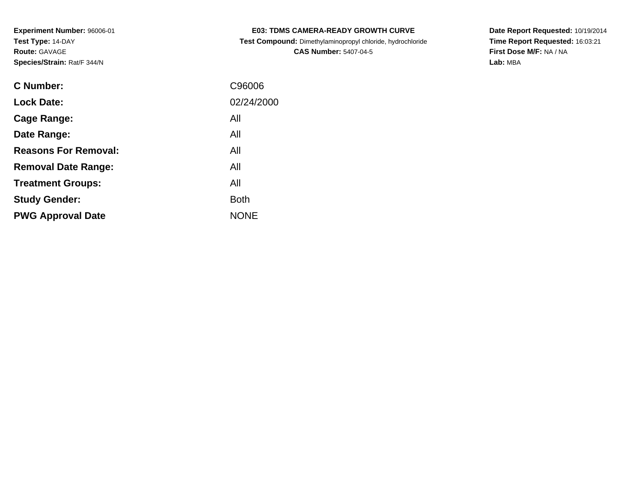| <b>E03: TDMS CAMERA-READY GROWTH CURVE</b>            |  |
|-------------------------------------------------------|--|
| aat Campanali Dimetrican mengerial akade birincele ka |  |

 **Test Compound:** Dimethylaminopropyl chloride, hydrochloride**CAS Number:** 5407-04-5

**Date Report Requested:** 10/19/2014 **Time Report Requested:** 16:03:21**First Dose M/F:** NA / NA**Lab:** MBA

| C Number:                   | C96006      |
|-----------------------------|-------------|
| <b>Lock Date:</b>           | 02/24/2000  |
| Cage Range:                 | All         |
| Date Range:                 | All         |
| <b>Reasons For Removal:</b> | All         |
| <b>Removal Date Range:</b>  | All         |
| <b>Treatment Groups:</b>    | All         |
| <b>Study Gender:</b>        | <b>Both</b> |
| <b>PWG Approval Date</b>    | <b>NONE</b> |
|                             |             |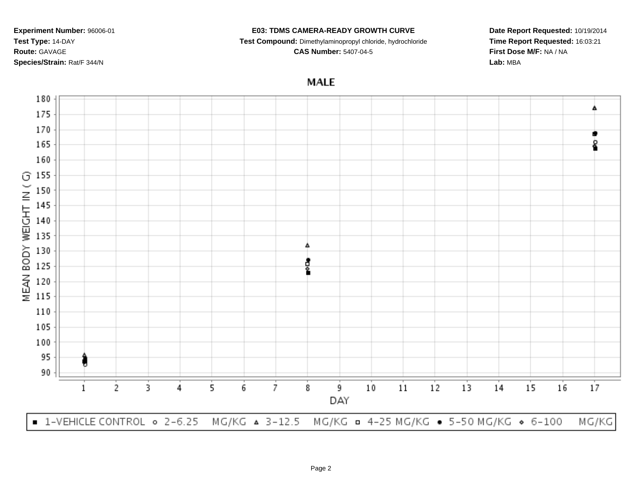#### **E03: TDMS CAMERA-READY GROWTH CURVE**

**Test Compound:** Dimethylaminopropyl chloride, hydrochloride

**CAS Number:** 5407-04-5

**Date Report Requested:** 10/19/2014**Time Report Requested:** 16:03:21**First Dose M/F:** NA / NA**Lab:** MBA

# **MALE**

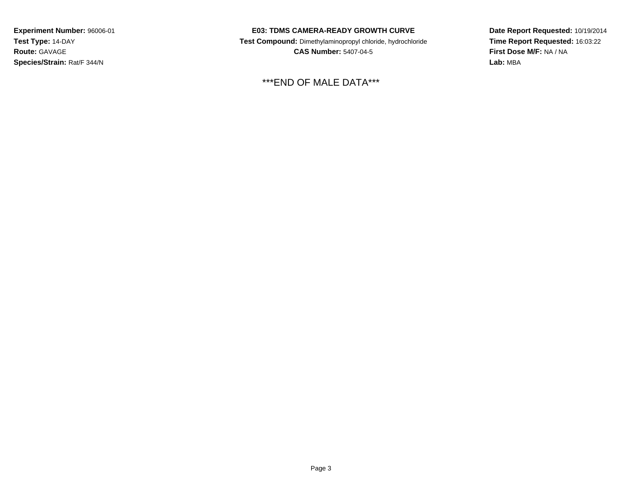### **E03: TDMS CAMERA-READY GROWTH CURVE**

 **Test Compound:** Dimethylaminopropyl chloride, hydrochloride**CAS Number:** 5407-04-5

\*\*\*END OF MALE DATA\*\*\*

**Date Report Requested:** 10/19/2014 **Time Report Requested:** 16:03:22**First Dose M/F:** NA / NA**Lab:** MBA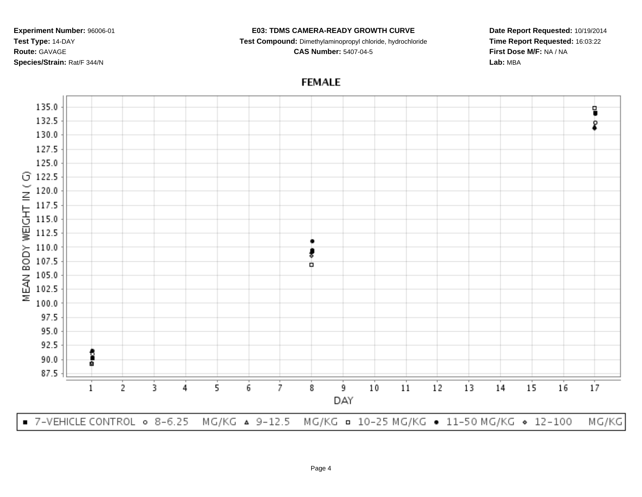#### **E03: TDMS CAMERA-READY GROWTH CURVE**

**Test Compound:** Dimethylaminopropyl chloride, hydrochloride

**CAS Number:** 5407-04-5

**Date Report Requested:** 10/19/2014**Time Report Requested:** 16:03:22**First Dose M/F:** NA / NA**Lab:** MBA

## **FEMALE**